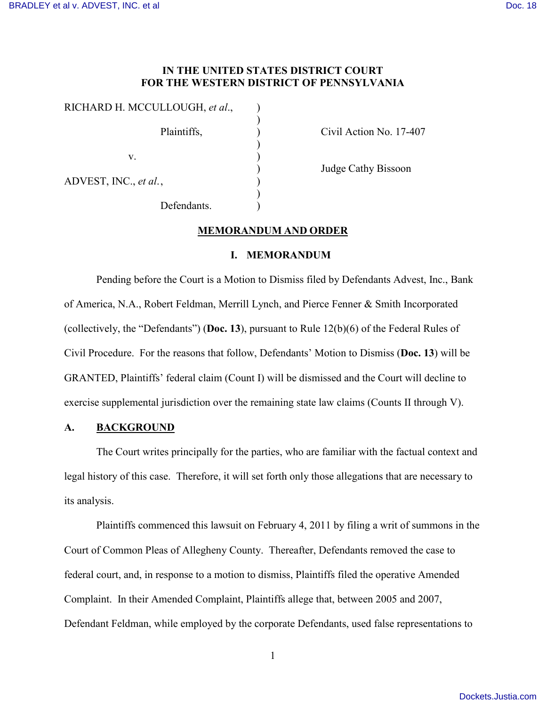## **IN THE UNITED STATES DISTRICT COURT FOR THE WESTERN DISTRICT OF PENNSYLVANIA**

| RICHARD H. MCCULLOUGH, et al., |  |
|--------------------------------|--|
| Plaintiffs,                    |  |
| V.                             |  |
| ADVEST, INC., et al.,          |  |
| Defendants.                    |  |

Civil Action No. 17-407

) Judge Cathy Bissoon

### **MEMORANDUM AND ORDER**

# **I. MEMORANDUM**

Pending before the Court is a Motion to Dismiss filed by Defendants Advest, Inc., Bank of America, N.A., Robert Feldman, Merrill Lynch, and Pierce Fenner & Smith Incorporated (collectively, the "Defendants") (**Doc. 13**), pursuant to Rule 12(b)(6) of the Federal Rules of Civil Procedure. For the reasons that follow, Defendants' Motion to Dismiss (**Doc. 13**) will be GRANTED, Plaintiffs' federal claim (Count I) will be dismissed and the Court will decline to exercise supplemental jurisdiction over the remaining state law claims (Counts II through V).

## **A. BACKGROUND**

The Court writes principally for the parties, who are familiar with the factual context and legal history of this case. Therefore, it will set forth only those allegations that are necessary to its analysis.

Plaintiffs commenced this lawsuit on February 4, 2011 by filing a writ of summons in the Court of Common Pleas of Allegheny County. Thereafter, Defendants removed the case to federal court, and, in response to a motion to dismiss, Plaintiffs filed the operative Amended Complaint. In their Amended Complaint, Plaintiffs allege that, between 2005 and 2007, Defendant Feldman, while employed by the corporate Defendants, used false representations to

1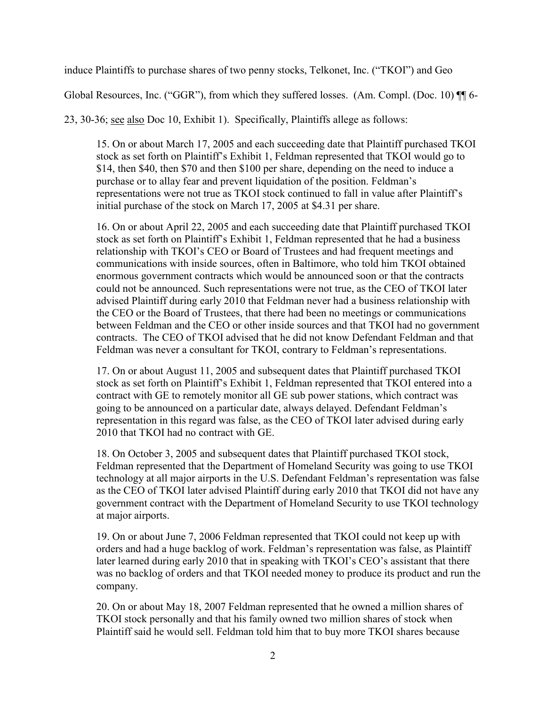induce Plaintiffs to purchase shares of two penny stocks, Telkonet, Inc. ("TKOI") and Geo

Global Resources, Inc. ("GGR"), from which they suffered losses. (Am. Compl. (Doc. 10) ¶¶ 6-

23, 30-36; see also Doc 10, Exhibit 1). Specifically, Plaintiffs allege as follows:

15. On or about March 17, 2005 and each succeeding date that Plaintiff purchased TKOI stock as set forth on Plaintiff's Exhibit 1, Feldman represented that TKOI would go to \$14, then \$40, then \$70 and then \$100 per share, depending on the need to induce a purchase or to allay fear and prevent liquidation of the position. Feldman's representations were not true as TKOI stock continued to fall in value after Plaintiff's initial purchase of the stock on March 17, 2005 at \$4.31 per share.

16. On or about April 22, 2005 and each succeeding date that Plaintiff purchased TKOI stock as set forth on Plaintiff's Exhibit 1, Feldman represented that he had a business relationship with TKOI's CEO or Board of Trustees and had frequent meetings and communications with inside sources, often in Baltimore, who told him TKOI obtained enormous government contracts which would be announced soon or that the contracts could not be announced. Such representations were not true, as the CEO of TKOI later advised Plaintiff during early 2010 that Feldman never had a business relationship with the CEO or the Board of Trustees, that there had been no meetings or communications between Feldman and the CEO or other inside sources and that TKOI had no government contracts. The CEO of TKOI advised that he did not know Defendant Feldman and that Feldman was never a consultant for TKOI, contrary to Feldman's representations.

17. On or about August 11, 2005 and subsequent dates that Plaintiff purchased TKOI stock as set forth on Plaintiff's Exhibit 1, Feldman represented that TKOI entered into a contract with GE to remotely monitor all GE sub power stations, which contract was going to be announced on a particular date, always delayed. Defendant Feldman's representation in this regard was false, as the CEO of TKOI later advised during early 2010 that TKOI had no contract with GE.

18. On October 3, 2005 and subsequent dates that Plaintiff purchased TKOI stock, Feldman represented that the Department of Homeland Security was going to use TKOI technology at all major airports in the U.S. Defendant Feldman's representation was false as the CEO of TKOI later advised Plaintiff during early 2010 that TKOI did not have any government contract with the Department of Homeland Security to use TKOI technology at major airports.

19. On or about June 7, 2006 Feldman represented that TKOI could not keep up with orders and had a huge backlog of work. Feldman's representation was false, as Plaintiff later learned during early 2010 that in speaking with TKOI's CEO's assistant that there was no backlog of orders and that TKOI needed money to produce its product and run the company.

20. On or about May 18, 2007 Feldman represented that he owned a million shares of TKOI stock personally and that his family owned two million shares of stock when Plaintiff said he would sell. Feldman told him that to buy more TKOI shares because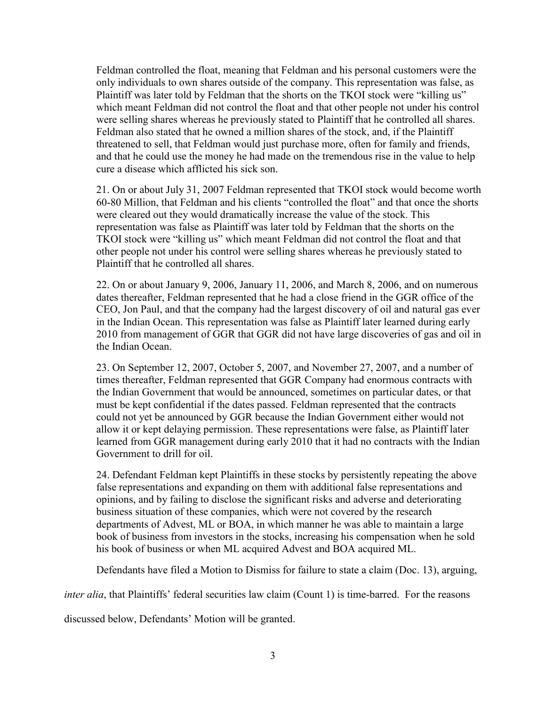Feldman controlled the float, meaning that Feldman and his personal customers were the only individuals to own shares outside of the company. This representation was false, as Plaintiff was later told by Feldman that the shorts on the TKOI stock were "killing us" which meant Feldman did not control the float and that other people not under his control were selling shares whereas he previously stated to Plaintiff that he controlled all shares. Feldman also stated that he owned a million shares of the stock, and, if the Plaintiff threatened to sell, that Feldman would just purchase more, often for family and friends, and that he could use the money he had made on the tremendous rise in the value to help cure a disease which afflicted his sick son.

21. On or about July 31, 2007 Feldman represented that TKOI stock would become worth 60-80 Million, that Feldman and his clients "controlled the float" and that once the shorts were cleared out they would dramatically increase the value of the stock. This representation was false as Plaintiff was later told by Feldman that the shorts on the TKOI stock were "killing us" which meant Feldman did not control the float and that other people not under his control were selling shares whereas he previously stated to Plaintiff that he controlled all shares.

22. On or about January 9, 2006, January 11, 2006, and March 8, 2006, and on numerous dates thereafter, Feldman represented that he had a close friend in the GGR office of the CEO, Jon Paul, and that the company had the largest discovery of oil and natural gas ever in the Indian Ocean. This representation was false as Plaintiff later learned during early 2010 from management of GGR that GGR did not have large discoveries of gas and oil in the Indian Ocean.

23. On September 12, 2007, October 5, 2007, and November 27, 2007, and a number of times thereafter, Feldman represented that GGR Company had enormous contracts with the Indian Government that would be announced, sometimes on particular dates, or that must be kept confidential if the dates passed. Feldman represented that the contracts could not yet be announced by GGR because the Indian Government either would not allow it or kept delaying permission. These representations were false, as Plaintiff later learned from GGR management during early 2010 that it had no contracts with the Indian Government to drill for oil.

24. Defendant Feldman kept Plaintiffs in these stocks by persistently repeating the above false representations and expanding on them with additional false representations and opinions, and by failing to disclose the significant risks and adverse and deteriorating business situation of these companies, which were not covered by the research departments of Advest, ML or BOA, in which manner he was able to maintain a large book of business from investors in the stocks, increasing his compensation when he sold his book of business or when ML acquired Advest and BOA acquired ML.

Defendants have filed a Motion to Dismiss for failure to state a claim (Doc. 13), arguing,

*inter alia*, that Plaintiffs' federal securities law claim (Count 1) is time-barred. For the reasons

discussed below, Defendants' Motion will be granted.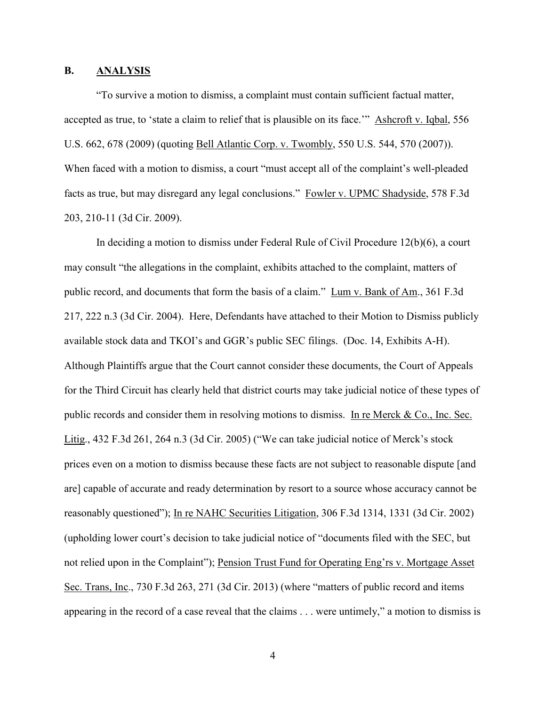## **B. ANALYSIS**

"To survive a motion to dismiss, a complaint must contain sufficient factual matter, accepted as true, to 'state a claim to relief that is plausible on its face.'" Ashcroft v. Iqbal, 556 U.S. 662, 678 (2009) (quoting Bell Atlantic Corp. v. Twombly, 550 U.S. 544, 570 (2007)). When faced with a motion to dismiss, a court "must accept all of the complaint's well-pleaded facts as true, but may disregard any legal conclusions." Fowler v. UPMC Shadyside, 578 F.3d 203, 210-11 (3d Cir. 2009).

In deciding a motion to dismiss under Federal Rule of Civil Procedure 12(b)(6), a court may consult "the allegations in the complaint, exhibits attached to the complaint, matters of public record, and documents that form the basis of a claim." Lum v. Bank of Am., 361 F.3d 217, 222 n.3 (3d Cir. 2004). Here, Defendants have attached to their Motion to Dismiss publicly available stock data and TKOI's and GGR's public SEC filings. (Doc. 14, Exhibits A-H). Although Plaintiffs argue that the Court cannot consider these documents, the Court of Appeals for the Third Circuit has clearly held that district courts may take judicial notice of these types of public records and consider them in resolving motions to dismiss. In re Merck & Co., Inc. Sec. Litig., 432 F.3d 261, 264 n.3 (3d Cir. 2005) ("We can take judicial notice of Merck's stock prices even on a motion to dismiss because these facts are not subject to reasonable dispute [and are] capable of accurate and ready determination by resort to a source whose accuracy cannot be reasonably questioned"); In re NAHC Securities Litigation, 306 F.3d 1314, 1331 (3d Cir. 2002) (upholding lower court's decision to take judicial notice of "documents filed with the SEC, but not relied upon in the Complaint"); Pension Trust Fund for Operating Eng'rs v. Mortgage Asset Sec. Trans, Inc., 730 F.3d 263, 271 (3d Cir. 2013) (where "matters of public record and items appearing in the record of a case reveal that the claims . . . were untimely," a motion to dismiss is

4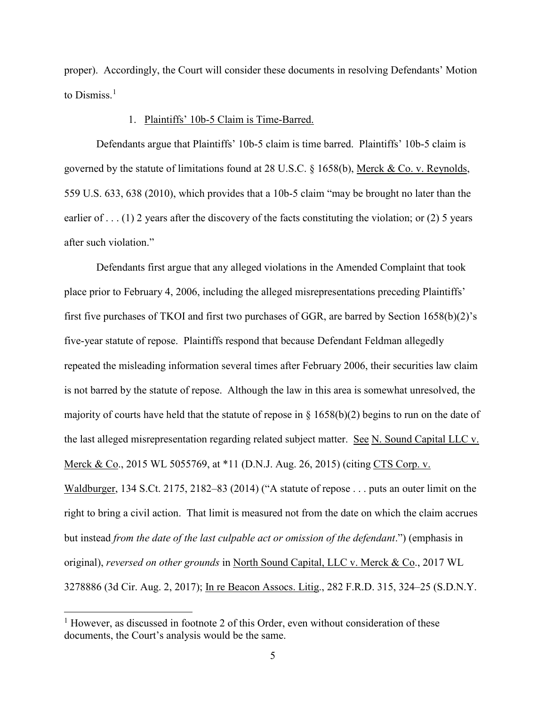proper). Accordingly, the Court will consider these documents in resolving Defendants' Motion to Dismiss $<sup>1</sup>$  $<sup>1</sup>$  $<sup>1</sup>$ </sup>

#### 1. Plaintiffs' 10b-5 Claim is Time-Barred.

Defendants argue that Plaintiffs' 10b-5 claim is time barred. Plaintiffs' 10b-5 claim is governed by the statute of limitations found at 28 U.S.C. § 1658(b), Merck & Co. v. Reynolds, 559 U.S. 633, 638 (2010), which provides that a 10b-5 claim "may be brought no later than the earlier of . . . (1) 2 years after the discovery of the facts constituting the violation; or (2) 5 years after such violation."

Defendants first argue that any alleged violations in the Amended Complaint that took place prior to February 4, 2006, including the alleged misrepresentations preceding Plaintiffs' first five purchases of TKOI and first two purchases of GGR, are barred by Section 1658(b)(2)'s five-year statute of repose. Plaintiffs respond that because Defendant Feldman allegedly repeated the misleading information several times after February 2006, their securities law claim is not barred by the statute of repose. Although the law in this area is somewhat unresolved, the majority of courts have held that the statute of repose in § 1658(b)(2) begins to run on the date of the last alleged misrepresentation regarding related subject matter. See N. Sound Capital LLC v. Merck & Co., 2015 WL 5055769, at \*11 (D.N.J. Aug. 26, 2015) (citing CTS Corp. v. Waldburger, 134 S.Ct. 2175, 2182–83 (2014) ("A statute of repose . . . puts an outer limit on the right to bring a civil action. That limit is measured not from the date on which the claim accrues but instead *from the date of the last culpable act or omission of the defendant*.") (emphasis in original), *reversed on other grounds* in North Sound Capital, LLC v. Merck & Co., 2017 WL 3278886 (3d Cir. Aug. 2, 2017); In re Beacon Assocs. Litig., 282 F.R.D. 315, 324–25 (S.D.N.Y.

<span id="page-4-0"></span><sup>&</sup>lt;sup>1</sup> However, as discussed in footnote 2 of this Order, even without consideration of these documents, the Court's analysis would be the same.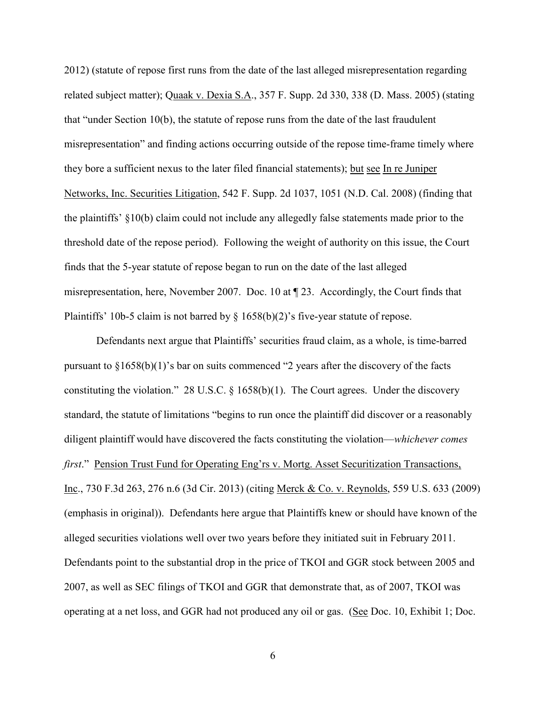2012) (statute of repose first runs from the date of the last alleged misrepresentation regarding related subject matter); Quaak v. Dexia S.A., 357 F. Supp. 2d 330, 338 (D. Mass. 2005) (stating that "under Section 10(b), the statute of repose runs from the date of the last fraudulent misrepresentation" and finding actions occurring outside of the repose time-frame timely where they bore a sufficient nexus to the later filed financial statements); but see In re Juniper Networks, Inc. Securities Litigation, 542 F. Supp. 2d 1037, 1051 (N.D. Cal. 2008) (finding that the plaintiffs' §10(b) claim could not include any allegedly false statements made prior to the threshold date of the repose period). Following the weight of authority on this issue, the Court finds that the 5-year statute of repose began to run on the date of the last alleged misrepresentation, here, November 2007. Doc. 10 at ¶ 23. Accordingly, the Court finds that Plaintiffs' 10b-5 claim is not barred by  $\S$  1658(b)(2)'s five-year statute of repose.

Defendants next argue that Plaintiffs' securities fraud claim, as a whole, is time-barred pursuant to  $\S1658(b)(1)$ 's bar on suits commenced "2 years after the discovery of the facts constituting the violation." 28 U.S.C.  $\S$  1658(b)(1). The Court agrees. Under the discovery standard, the statute of limitations "begins to run once the plaintiff did discover or a reasonably diligent plaintiff would have discovered the facts constituting the violation—*whichever comes first*." Pension Trust Fund for Operating Eng'rs v. Mortg. Asset Securitization Transactions, Inc., 730 F.3d 263, 276 n.6 (3d Cir. 2013) (citing Merck & Co. v. Reynolds, 559 U.S. 633 (2009) (emphasis in original)). Defendants here argue that Plaintiffs knew or should have known of the alleged securities violations well over two years before they initiated suit in February 2011. Defendants point to the substantial drop in the price of TKOI and GGR stock between 2005 and 2007, as well as SEC filings of TKOI and GGR that demonstrate that, as of 2007, TKOI was operating at a net loss, and GGR had not produced any oil or gas. (See Doc. 10, Exhibit 1; Doc.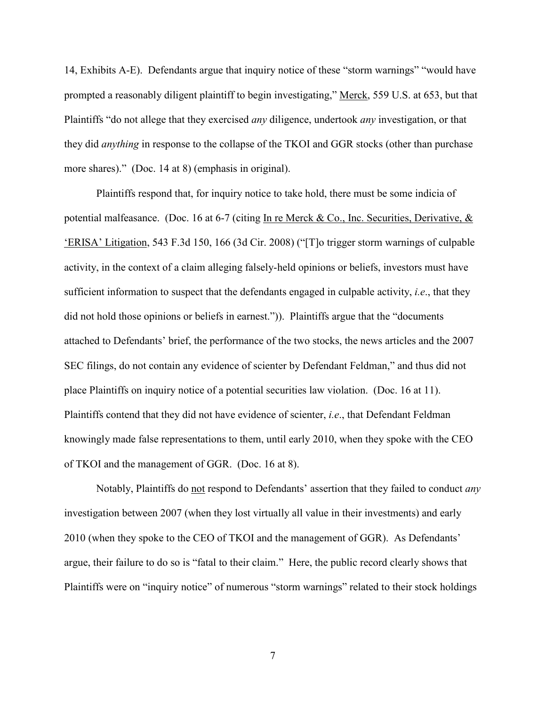14, Exhibits A-E). Defendants argue that inquiry notice of these "storm warnings" "would have prompted a reasonably diligent plaintiff to begin investigating," Merck, 559 U.S. at 653, but that Plaintiffs "do not allege that they exercised *any* diligence, undertook *any* investigation, or that they did *anything* in response to the collapse of the TKOI and GGR stocks (other than purchase more shares)." (Doc. 14 at 8) (emphasis in original).

Plaintiffs respond that, for inquiry notice to take hold, there must be some indicia of potential malfeasance. (Doc. 16 at 6-7 (citing In re Merck & Co., Inc. Securities, Derivative, & 'ERISA' Litigation, 543 F.3d 150, 166 (3d Cir. 2008) ("[T]o trigger storm warnings of culpable activity, in the context of a claim alleging falsely-held opinions or beliefs, investors must have sufficient information to suspect that the defendants engaged in culpable activity, *i.e*., that they did not hold those opinions or beliefs in earnest.")). Plaintiffs argue that the "documents attached to Defendants' brief, the performance of the two stocks, the news articles and the 2007 SEC filings, do not contain any evidence of scienter by Defendant Feldman," and thus did not place Plaintiffs on inquiry notice of a potential securities law violation. (Doc. 16 at 11). Plaintiffs contend that they did not have evidence of scienter, *i.e*., that Defendant Feldman knowingly made false representations to them, until early 2010, when they spoke with the CEO of TKOI and the management of GGR. (Doc. 16 at 8).

Notably, Plaintiffs do not respond to Defendants' assertion that they failed to conduct *any* investigation between 2007 (when they lost virtually all value in their investments) and early 2010 (when they spoke to the CEO of TKOI and the management of GGR). As Defendants' argue, their failure to do so is "fatal to their claim." Here, the public record clearly shows that Plaintiffs were on "inquiry notice" of numerous "storm warnings" related to their stock holdings

7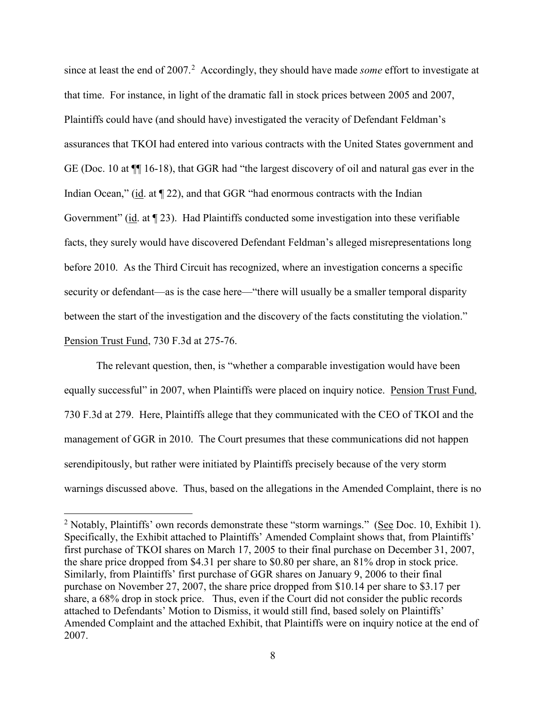since at least the end of [2](#page-7-0)007.<sup>2</sup> Accordingly, they should have made *some* effort to investigate at that time. For instance, in light of the dramatic fall in stock prices between 2005 and 2007, Plaintiffs could have (and should have) investigated the veracity of Defendant Feldman's assurances that TKOI had entered into various contracts with the United States government and GE (Doc. 10 at ¶¶ 16-18), that GGR had "the largest discovery of oil and natural gas ever in the Indian Ocean," (id. at  $\P$  22), and that GGR "had enormous contracts with the Indian Government" (id. at ¶ 23). Had Plaintiffs conducted some investigation into these verifiable facts, they surely would have discovered Defendant Feldman's alleged misrepresentations long before 2010. As the Third Circuit has recognized, where an investigation concerns a specific security or defendant—as is the case here—"there will usually be a smaller temporal disparity between the start of the investigation and the discovery of the facts constituting the violation." Pension Trust Fund, 730 F.3d at 275-76.

The relevant question, then, is "whether a comparable investigation would have been equally successful" in 2007, when Plaintiffs were placed on inquiry notice. Pension Trust Fund, 730 F.3d at 279. Here, Plaintiffs allege that they communicated with the CEO of TKOI and the management of GGR in 2010. The Court presumes that these communications did not happen serendipitously, but rather were initiated by Plaintiffs precisely because of the very storm warnings discussed above. Thus, based on the allegations in the Amended Complaint, there is no

<span id="page-7-0"></span><sup>&</sup>lt;sup>2</sup> Notably, Plaintiffs' own records demonstrate these "storm warnings." (See Doc. 10, Exhibit 1). Specifically, the Exhibit attached to Plaintiffs' Amended Complaint shows that, from Plaintiffs' first purchase of TKOI shares on March 17, 2005 to their final purchase on December 31, 2007, the share price dropped from \$4.31 per share to \$0.80 per share, an 81% drop in stock price. Similarly, from Plaintiffs' first purchase of GGR shares on January 9, 2006 to their final purchase on November 27, 2007, the share price dropped from \$10.14 per share to \$3.17 per share, a 68% drop in stock price. Thus, even if the Court did not consider the public records attached to Defendants' Motion to Dismiss, it would still find, based solely on Plaintiffs' Amended Complaint and the attached Exhibit, that Plaintiffs were on inquiry notice at the end of 2007.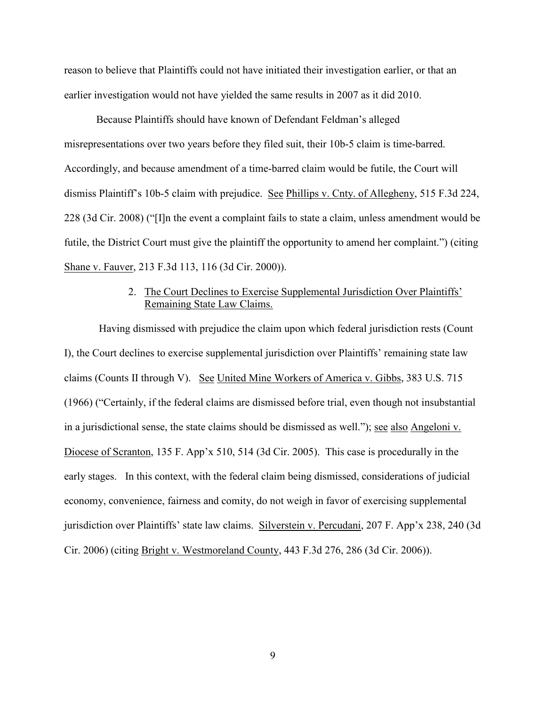reason to believe that Plaintiffs could not have initiated their investigation earlier, or that an earlier investigation would not have yielded the same results in 2007 as it did 2010.

Because Plaintiffs should have known of Defendant Feldman's alleged misrepresentations over two years before they filed suit, their 10b-5 claim is time-barred. Accordingly, and because amendment of a time-barred claim would be futile, the Court will dismiss Plaintiff's 10b-5 claim with prejudice. See Phillips v. Cnty. of Allegheny, 515 F.3d 224, 228 (3d Cir. 2008) ("[I]n the event a complaint fails to state a claim, unless amendment would be futile, the District Court must give the plaintiff the opportunity to amend her complaint.") (citing Shane v. Fauver, 213 F.3d 113, 116 (3d Cir. 2000)).

# 2. The Court Declines to Exercise Supplemental Jurisdiction Over Plaintiffs' Remaining State Law Claims.

Having dismissed with prejudice the claim upon which federal jurisdiction rests (Count I), the Court declines to exercise supplemental jurisdiction over Plaintiffs' remaining state law claims (Counts II through V). See United Mine Workers of America v. Gibbs, 383 U.S. 715 (1966) ("Certainly, if the federal claims are dismissed before trial, even though not insubstantial in a jurisdictional sense, the state claims should be dismissed as well."); see also Angeloni v. Diocese of Scranton, 135 F. App'x 510, 514 (3d Cir. 2005). This case is procedurally in the early stages. In this context, with the federal claim being dismissed, considerations of judicial economy, convenience, fairness and comity, do not weigh in favor of exercising supplemental jurisdiction over Plaintiffs' state law claims. Silverstein v. Percudani, 207 F. App'x 238, 240 (3d Cir. 2006) (citing Bright v. Westmoreland County, 443 F.3d 276, 286 (3d Cir. 2006)).